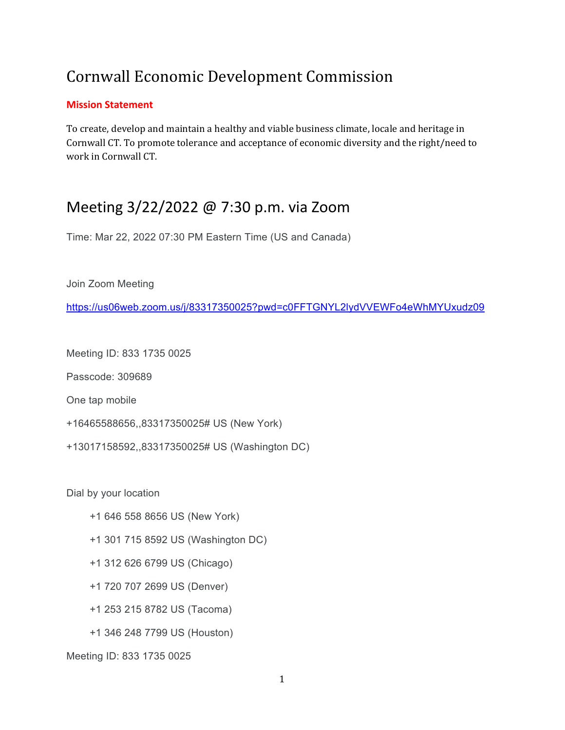# Cornwall Economic Development Commission

#### **Mission Statement**

To create, develop and maintain a healthy and viable business climate, locale and heritage in Cornwall CT. To promote tolerance and acceptance of economic diversity and the right/need to work in Cornwall CT.

# Meeting 3/22/2022 @ 7:30 p.m. via Zoom

Time: Mar 22, 2022 07:30 PM Eastern Time (US and Canada)

Join Zoom Meeting

<https://us06web.zoom.us/j/83317350025?pwd=c0FFTGNYL2lydVVEWFo4eWhMYUxudz09>

Meeting ID: 833 1735 0025

Passcode: 309689

One tap mobile

- +16465588656,,83317350025# US (New York)
- +13017158592,,83317350025# US (Washington DC)

Dial by your location

- +1 646 558 8656 US (New York)
- +1 301 715 8592 US (Washington DC)
- +1 312 626 6799 US (Chicago)
- +1 720 707 2699 US (Denver)
- +1 253 215 8782 US (Tacoma)
- +1 346 248 7799 US (Houston)

Meeting ID: 833 1735 0025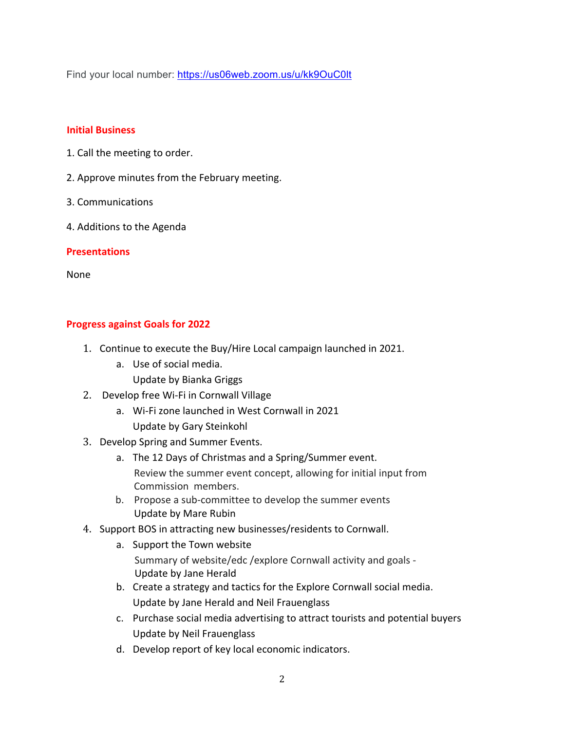Find your local number:<https://us06web.zoom.us/u/kk9OuC0lt>

#### **Initial Business**

- 1. Call the meeting to order.
- 2. Approve minutes from the February meeting.
- 3. Communications
- 4. Additions to the Agenda

## **Presentations**

None

## **Progress against Goals for 2022**

- 1. Continue to execute the Buy/Hire Local campaign launched in 2021.
	- a. Use of social media.
		- Update by Bianka Griggs
- 2. Develop free Wi-Fi in Cornwall Village
	- a. Wi-Fi zone launched in West Cornwall in 2021 Update by Gary Steinkohl
- 3. Develop Spring and Summer Events.
	- a. The 12 Days of Christmas and a Spring/Summer event. Review the summer event concept, allowing for initial input from Commission members.
	- b. Propose a sub-committee to develop the summer events Update by Mare Rubin
- 4. Support BOS in attracting new businesses/residents to Cornwall.
	- a. Support the Town website Summary of website/edc /explore Cornwall activity and goals - Update by Jane Herald
	- b. Create a strategy and tactics for the Explore Cornwall social media. Update by Jane Herald and Neil Frauenglass
	- c. Purchase social media advertising to attract tourists and potential buyers Update by Neil Frauenglass
	- d. Develop report of key local economic indicators.